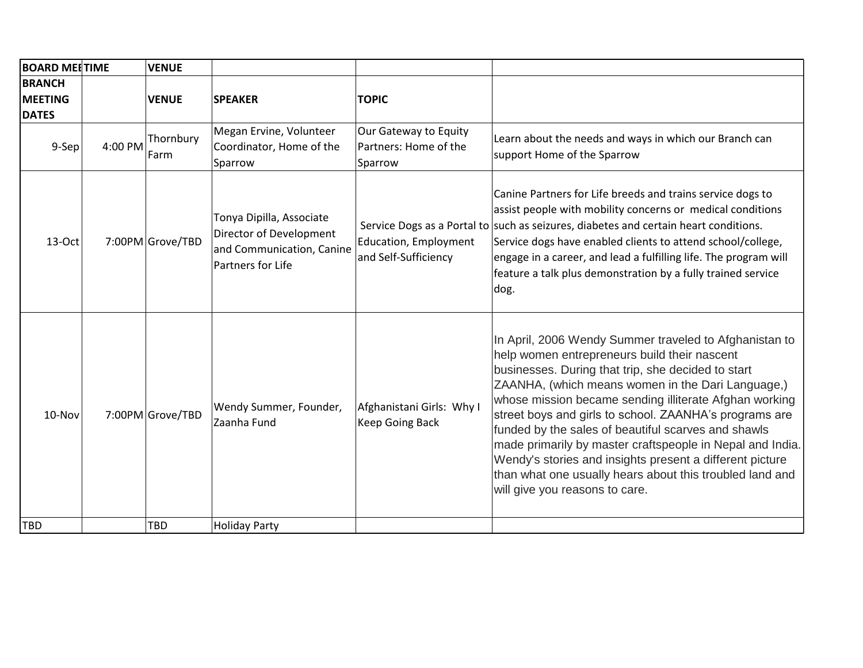| <b>BOARD MEETIME</b>                            |         | <b>VENUE</b>      |                                                                                                       |                                                           |                                                                                                                                                                                                                                                                                                                                                                                                                                                                                                                                                                                                                     |
|-------------------------------------------------|---------|-------------------|-------------------------------------------------------------------------------------------------------|-----------------------------------------------------------|---------------------------------------------------------------------------------------------------------------------------------------------------------------------------------------------------------------------------------------------------------------------------------------------------------------------------------------------------------------------------------------------------------------------------------------------------------------------------------------------------------------------------------------------------------------------------------------------------------------------|
| <b>BRANCH</b><br><b>MEETING</b><br><b>DATES</b> |         | <b>VENUE</b>      | <b>SPEAKER</b>                                                                                        | <b>TOPIC</b>                                              |                                                                                                                                                                                                                                                                                                                                                                                                                                                                                                                                                                                                                     |
| $9-Sep$                                         | 4:00 PM | Thornbury<br>Farm | Megan Ervine, Volunteer<br>Coordinator, Home of the<br>Sparrow                                        | Our Gateway to Equity<br>Partners: Home of the<br>Sparrow | Learn about the needs and ways in which our Branch can<br>support Home of the Sparrow                                                                                                                                                                                                                                                                                                                                                                                                                                                                                                                               |
| 13-Oct                                          |         | 7:00PM Grove/TBD  | Tonya Dipilla, Associate<br>Director of Development<br>and Communication, Canine<br>Partners for Life | <b>Education, Employment</b><br>and Self-Sufficiency      | Canine Partners for Life breeds and trains service dogs to<br>assist people with mobility concerns or medical conditions<br>Service Dogs as a Portal to such as seizures, diabetes and certain heart conditions.<br>Service dogs have enabled clients to attend school/college,<br>engage in a career, and lead a fulfilling life. The program will<br>feature a talk plus demonstration by a fully trained service<br>dog.                                                                                                                                                                                         |
| 10-Nov                                          |         | 7:00PM Grove/TBD  | Wendy Summer, Founder,<br>Zaanha Fund                                                                 | Afghanistani Girls: Why I<br><b>Keep Going Back</b>       | In April, 2006 Wendy Summer traveled to Afghanistan to<br>help women entrepreneurs build their nascent<br>businesses. During that trip, she decided to start<br>ZAANHA, (which means women in the Dari Language,)<br>whose mission became sending illiterate Afghan working<br>street boys and girls to school. ZAANHA's programs are<br>funded by the sales of beautiful scarves and shawls<br>made primarily by master craftspeople in Nepal and India.<br>Wendy's stories and insights present a different picture<br>than what one usually hears about this troubled land and<br>will give you reasons to care. |
| <b>TBD</b>                                      |         | <b>TBD</b>        | <b>Holiday Party</b>                                                                                  |                                                           |                                                                                                                                                                                                                                                                                                                                                                                                                                                                                                                                                                                                                     |